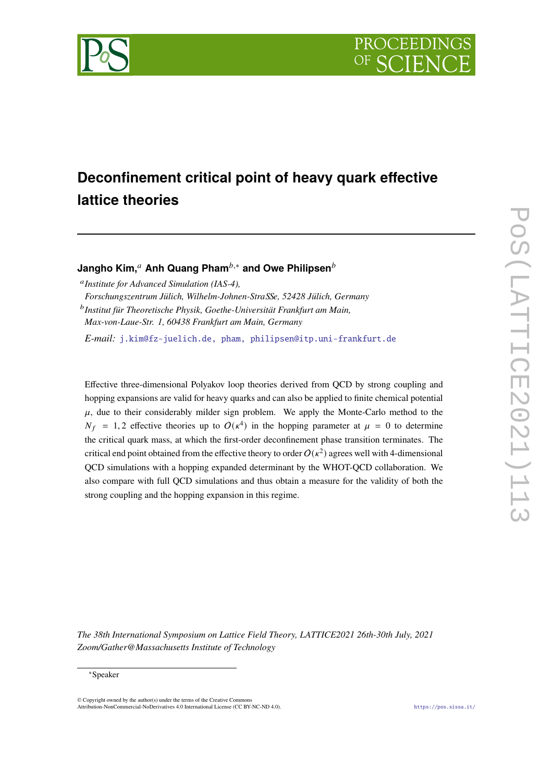

# **Deconfinement critical point of heavy quark effective lattice theories**

**Jangho Kim,<sup>***a***</sup> Anh Quang Pham<sup>***b***,∗</sup> and Owe Philipsen<sup>***b***</sup>** 

*Institute for Advanced Simulation (IAS-4),*

*Forschungszentrum Jülich, Wilhelm-Johnen-StraSSe, 52428 Jülich, Germany Institut für Theoretische Physik, Goethe-Universität Frankfurt am Main,*

*Max-von-Laue-Str. 1, 60438 Frankfurt am Main, Germany*

*E-mail:* [j.kim@fz-juelich.de, pham, philipsen@itp.uni-frankfurt.de](mailto:j.kim@fz-juelich.de, pham, philipsen@itp.uni-frankfurt.de)

Effective three-dimensional Polyakov loop theories derived from QCD by strong coupling and hopping expansions are valid for heavy quarks and can also be applied to finite chemical potential  $\mu$ , due to their considerably milder sign problem. We apply the Monte-Carlo method to the  $N_f = 1,2$  effective theories up to  $O(\kappa^4)$  in the hopping parameter at  $\mu = 0$  to determine the critical quark mass, at which the first-order deconfinement phase transition terminates. The critical end point obtained from the effective theory to order  $O(\kappa^2)$  agrees well with 4-dimensional QCD simulations with a hopping expanded determinant by the WHOT-QCD collaboration. We also compare with full QCD simulations and thus obtain a measure for the validity of both the strong coupling and the hopping expansion in this regime.

*The 38th International Symposium on Lattice Field Theory, LATTICE2021 26th-30th July, 2021 Zoom/Gather@Massachusetts Institute of Technology*

#### ∗Speaker

 $\odot$  Copyright owned by the author(s) under the terms of the Creative Common Attribution-NonCommercial-NoDerivatives 4.0 International License (CC BY-NC-ND 4.0). <https://pos.sissa.it/>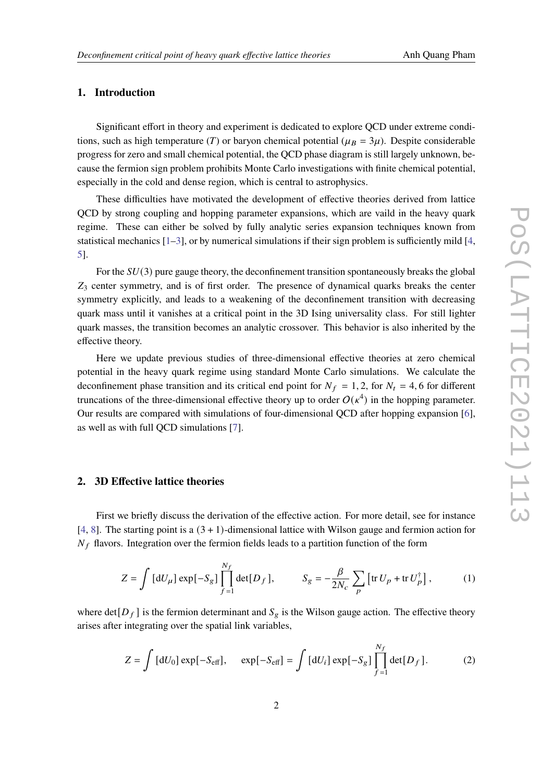## **1. Introduction**

Significant effort in theory and experiment is dedicated to explore QCD under extreme conditions, such as high temperature (T) or baryon chemical potential ( $\mu_B = 3\mu$ ). Despite considerable progress for zero and small chemical potential, the QCD phase diagram is still largely unknown, because the fermion sign problem prohibits Monte Carlo investigations with finite chemical potential, especially in the cold and dense region, which is central to astrophysics.

These difficulties have motivated the development of effective theories derived from lattice QCD by strong coupling and hopping parameter expansions, which are vaild in the heavy quark regime. These can either be solved by fully analytic series expansion techniques known from statistical mechanics  $[1-3]$  $[1-3]$ , or by numerical simulations if their sign problem is sufficiently mild  $[4]$  $[4]$  $[4]$ , [5\]](#page-7-3).

For the  $SU(3)$  pure gauge theory, the deconfinement transition spontaneously breaks the global  $Z_3$  center symmetry, and is of first order. The presence of dynamical quarks breaks the center symmetry explicitly, and leads to a weakening of the deconfinement transition with decreasing quark mass until it vanishes at a critical point in the 3D Ising universality class. For still lighter quark masses, the transition becomes an analytic crossover. This behavior is also inherited by the effective theory.

Here we update previous studies of three-dimensional effective theories at zero chemical potential in the heavy quark regime using standard Monte Carlo simulations. We calculate the deconfinement phase transition and its critical end point for  $N_f = 1, 2$ , for  $N_t = 4, 6$  for different truncations of the three-dimensional effective theory up to order  $O(\kappa^4)$  in the hopping parameter. Our results are compared with simulations of four-dimensional QCD after hopping expansion [\[6\]](#page-8-0), as well as with full QCD simulations [[7](#page-8-1)].

## **2. 3D Effective lattice theories**

First we briefly discuss the derivation of the effective action. For more detail, see for instance [[4](#page-7-2), [8](#page-8-2)]. The starting point is a  $(3 + 1)$ -dimensional lattice with Wilson gauge and fermion action for  $N_f$  flavors. Integration over the fermion fields leads to a partition function of the form

$$
Z = \int \left[ dU_{\mu} \right] \exp\left[ -S_g \right] \prod_{f=1}^{N_f} \det\left[ D_f \right], \qquad S_g = -\frac{\beta}{2N_c} \sum_p \left[ \text{tr} \, U_p + \text{tr} \, U_p^{\dagger} \right], \tag{1}
$$

where det $[D_f]$  is the fermion determinant and  $S_g$  is the Wilson gauge action. The effective theory arises after integrating over the spatial link variables,

$$
Z = \int [dU_0] \exp[-S_{\text{eff}}], \quad \exp[-S_{\text{eff}}] = \int [dU_i] \exp[-S_g] \prod_{f=1}^{N_f} \det[D_f]. \tag{2}
$$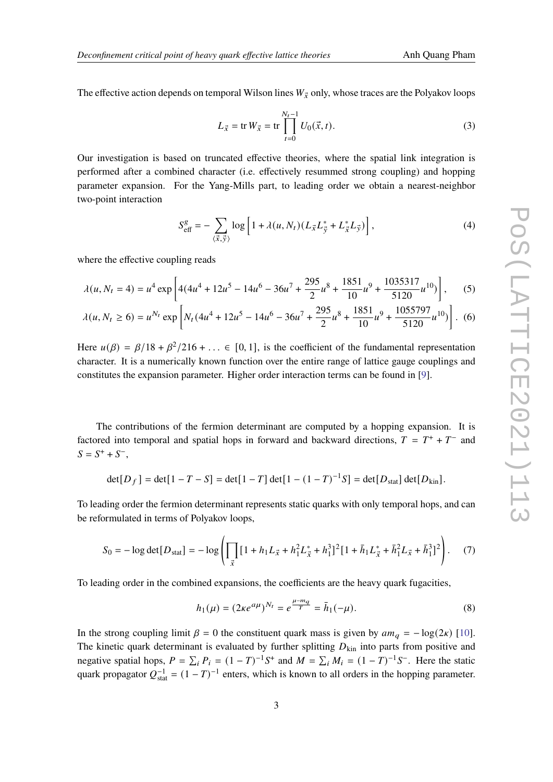The effective action depends on temporal Wilson lines  $W_{\vec{x}}$  only, whose traces are the Polyakov loops

$$
L_{\vec{x}} = \text{tr } W_{\vec{x}} = \text{tr } \prod_{t=0}^{N_t - 1} U_0(\vec{x}, t).
$$
 (3)

Our investigation is based on truncated effective theories, where the spatial link integration is performed after a combined character (i.e. effectively resummed strong coupling) and hopping parameter expansion. For the Yang-Mills part, to leading order we obtain a nearest-neighbor two-point interaction

$$
S_{\text{eff}}^{g} = -\sum_{\langle \vec{x}, \vec{y} \rangle} \log \left[ 1 + \lambda(u, N_t) (L_{\vec{x}} L_{\vec{y}}^* + L_{\vec{x}}^* L_{\vec{y}}) \right], \tag{4}
$$

where the effective coupling reads

$$
\lambda(u, N_t = 4) = u^4 \exp\left[ 4(4u^4 + 12u^5 - 14u^6 - 36u^7 + \frac{295}{2}u^8 + \frac{1851}{10}u^9 + \frac{1035317}{5120}u^{10}) \right],
$$
 (5)

$$
\lambda(u, N_t \ge 6) = u^{N_t} \exp \left[ N_t (4u^4 + 12u^5 - 14u^6 - 36u^7 + \frac{295}{2}u^8 + \frac{1851}{10}u^9 + \frac{1055797}{5120}u^{10}) \right].
$$
 (6)

Here  $u(\beta) = \beta/18 + \beta^2/216 + ... \in [0, 1]$ , is the coefficient of the fundamental representation character. It is a numerically known function over the entire range of lattice gauge couplings and constitutes the expansion parameter. Higher order interaction terms can be found in [[9](#page-8-3)].

The contributions of the fermion determinant are computed by a hopping expansion. It is factored into temporal and spatial hops in forward and backward directions,  $T = T^+ + T^-$  and  $S = S^+ + S^-,$ 

$$
\det[D_f] = \det[1 - T - S] = \det[1 - T] \det[1 - (1 - T)^{-1}S] = \det[D_{\text{stat}}] \det[D_{\text{kin}}].
$$

To leading order the fermion determinant represents static quarks with only temporal hops, and can be reformulated in terms of Polyakov loops,

$$
S_0 = -\log \det[D_{\text{stat}}] = -\log \left( \prod_{\vec{x}} \left[ 1 + h_1 L_{\vec{x}} + h_1^2 L_{\vec{x}}^* + h_1^3 \right]^2 \left[ 1 + \bar{h}_1 L_{\vec{x}}^* + \bar{h}_1^2 L_{\vec{x}} + \bar{h}_1^3 \right]^2 \right). \tag{7}
$$

To leading order in the combined expansions, the coefficients are the heavy quark fugacities,

$$
h_1(\mu) = (2\kappa e^{a\mu})^{N_t} = e^{\frac{\mu - m_q}{T}} = \bar{h}_1(-\mu).
$$
 (8)

In the strong coupling limit  $\beta = 0$  the constituent quark mass is given by  $am_q = -\log(2\kappa)$  [[10\]](#page-8-4). The kinetic quark determinant is evaluated by further splitting  $D_{kin}$  into parts from positive and negative spatial hops,  $P = \sum_i P_i = (1 - T)^{-1} S^+$  and  $M = \sum_i M_i = (1 - T)^{-1} S^-$ . Here the static quark propagator  $Q_{stat}^{-1} = (1 - T)^{-1}$  enters, which is known to all orders in the hopping parameter.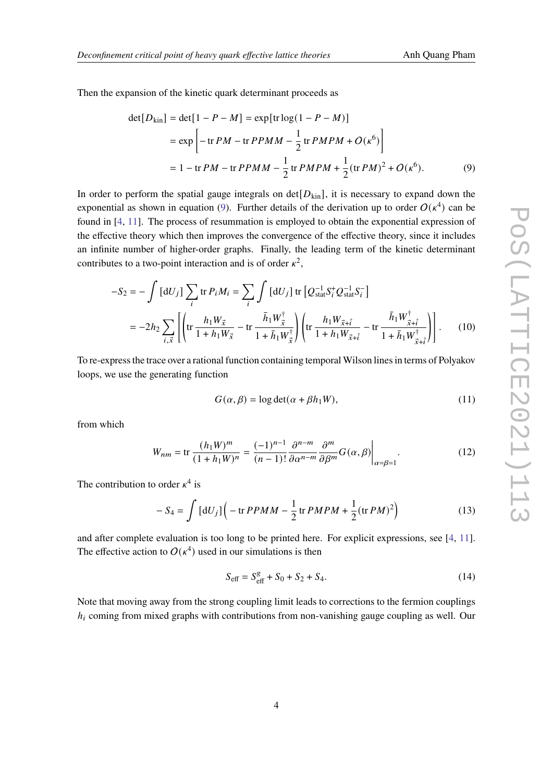Then the expansion of the kinetic quark determinant proceeds as

<span id="page-3-0"></span>
$$
\det[D_{\text{kin}}] = \det[1 - P - M] = \exp[\text{tr}\log(1 - P - M)]
$$
  
=  $\exp\left[-\text{tr} PM - \text{tr} PPMM - \frac{1}{2}\text{tr} PMPM + O(\kappa^6)\right]$   
=  $1 - \text{tr} PM - \text{tr} PPMM - \frac{1}{2}\text{tr} PMPM + \frac{1}{2}(\text{tr} PM)^2 + O(\kappa^6).$  (9)

In order to perform the spatial gauge integrals on  $det[D_{kin}]$ , it is necessary to expand down the exponential as shown in equation ([9](#page-3-0)). Further details of the derivation up to order  $O(\kappa^4)$  can be found in [\[4,](#page-7-2) [11](#page-8-5)]. The process of resummation is employed to obtain the exponential expression of the effective theory which then improves the convergence of the effective theory, since it includes an infinite number of higher-order graphs. Finally, the leading term of the kinetic determinant contributes to a two-point interaction and is of order  $\kappa^2$ ,

$$
-S_2 = -\int [dU_j] \sum_i \text{tr } P_i M_i = \sum_i \int [dU_j] \text{ tr } \left[ Q_{stat}^{-1} S_i^+ Q_{stat}^{-1} S_i^- \right]
$$
  
=  $-2h_2 \sum_{i, \vec{x}} \left[ \left( \text{tr } \frac{h_1 W_{\vec{x}}}{1 + h_1 W_{\vec{x}}} - \text{tr } \frac{\bar{h}_1 W_{\vec{x}}^\dagger}{1 + \bar{h}_1 W_{\vec{x}}^\dagger} \right) \left( \text{tr } \frac{h_1 W_{\vec{x} + \hat{i}}}{1 + h_1 W_{\vec{x} + \hat{i}}} - \text{tr } \frac{\bar{h}_1 W_{\vec{x} + \hat{i}}^\dagger}{1 + \bar{h}_1 W_{\vec{x} + \hat{i}}^\dagger} \right) \right].$  (10)

To re-express the trace over a rational function containing temporal Wilson lines in terms of Polyakov loops, we use the generating function

$$
G(\alpha, \beta) = \log \det(\alpha + \beta h_1 W), \tag{11}
$$

from which

$$
W_{nm} = \text{tr}\,\frac{(h_1 W)^m}{(1 + h_1 W)^n} = \frac{(-1)^{n-1}}{(n-1)!}\frac{\partial^{n-m}}{\partial \alpha^{n-m}}\frac{\partial^m}{\partial \beta^m}G(\alpha,\beta)\Big|_{\alpha=\beta=1}.\tag{12}
$$

The contribution to order  $\kappa^4$  is

$$
- S_4 = \int [dU_j] \left( -\text{tr } P P M M - \frac{1}{2} \text{tr } P M P M + \frac{1}{2} (\text{tr } P M)^2 \right)
$$
(13)

and after complete evaluation is too long to be printed here. For explicit expressions, see [\[4,](#page-7-2) [11\]](#page-8-5). The effective action to  $O(\kappa^4)$  used in our simulations is then

$$
S_{\text{eff}} = S_{\text{eff}}^{g} + S_0 + S_2 + S_4. \tag{14}
$$

Note that moving away from the strong coupling limit leads to corrections to the fermion couplings *h*<sub>i</sub> coming from mixed graphs with contributions from non-vanishing gauge coupling as well. Our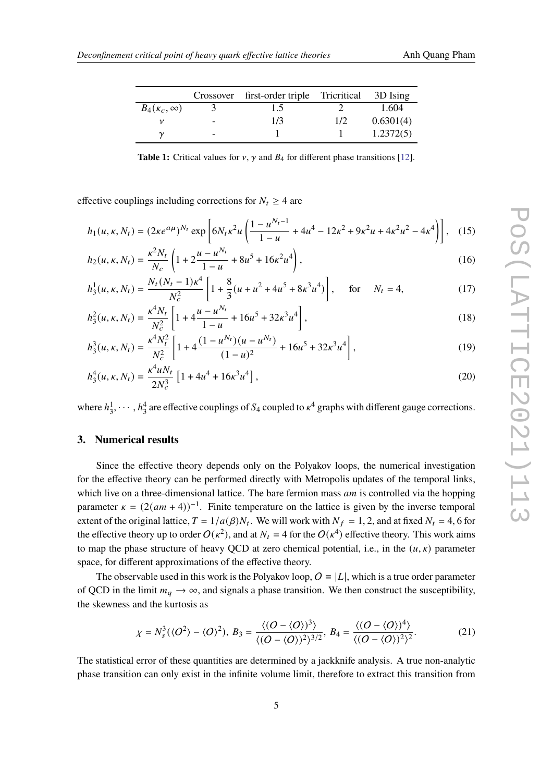<span id="page-4-0"></span>

|                         |   | Crossover first-order triple Tricritical |     | 3D Ising  |
|-------------------------|---|------------------------------------------|-----|-----------|
| $B_4(\kappa_c, \infty)$ |   | 1.5                                      |     | 1.604     |
|                         | - | 1/3                                      | 1/2 | 0.6301(4) |
|                         |   |                                          |     | 1.2372(5) |

**Table 1:** Critical values for  $v$ ,  $\gamma$  and  $B_4$  for different phase transitions [\[12](#page-8-6)].

effective couplings including corrections for  $N_t \geq 4$  are

$$
h_1(u, \kappa, N_t) = (2\kappa e^{a\mu})^{N_t} \exp\left[6N_t\kappa^2 u \left(\frac{1 - u^{N_t - 1}}{1 - u} + 4u^4 - 12\kappa^2 + 9\kappa^2 u + 4\kappa^2 u^2 - 4\kappa^4\right)\right], \quad (15)
$$

$$
h_2(u,\kappa,N_t) = \frac{\kappa^2 N_t}{N_c} \left( 1 + 2\frac{u - u^{N_t}}{1 - u} + 8u^5 + 16\kappa^2 u^4 \right),\tag{16}
$$

$$
h_3^1(u, \kappa, N_t) = \frac{N_t (N_t - 1)\kappa^4}{N_c^2} \left[ 1 + \frac{8}{3} (u + u^2 + 4u^5 + 8\kappa^3 u^4) \right], \quad \text{for} \quad N_t = 4,
$$
 (17)

$$
h_3^2(u, \kappa, N_t) = \frac{\kappa^4 N_t}{N_c^2} \left[ 1 + 4 \frac{u - u^{N_t}}{1 - u} + 16u^5 + 32\kappa^3 u^4 \right],
$$
\n(18)

$$
h_3^3(u, \kappa, N_t) = \frac{\kappa^4 N_t^2}{N_c^2} \left[ 1 + 4 \frac{(1 - u^{N_t})(u - u^{N_t})}{(1 - u)^2} + 16u^5 + 32\kappa^3 u^4 \right],\tag{19}
$$

$$
h_3^4(u, \kappa, N_t) = \frac{\kappa^4 u N_t}{2N_c^3} \left[ 1 + 4u^4 + 16\kappa^3 u^4 \right],
$$
\n(20)

where  $h_3^1, \dots, h_3^4$  are effective couplings of  $S_4$  coupled to  $\kappa^4$  graphs with different gauge corrections.

#### **3. Numerical results**

Since the effective theory depends only on the Polyakov loops, the numerical investigation for the effective theory can be performed directly with Metropolis updates of the temporal links, which live on a three-dimensional lattice. The bare fermion mass  $am$  is controlled via the hopping parameter  $\kappa = (2(am + 4))^{-1}$ . Finite temperature on the lattice is given by the inverse temporal extent of the original lattice,  $T = 1/a(\beta)N_t$ . We will work with  $N_f = 1, 2$ , and at fixed  $N_t = 4, 6$  for the effective theory up to order  $O(\kappa^2)$ , and at  $N_t = 4$  for the  $O(\kappa^4)$  effective theory. This work aims to map the phase structure of heavy QCD at zero chemical potential, i.e., in the  $(u, \kappa)$  parameter space, for different approximations of the effective theory.

The observable used in this work is the Polyakov loop,  $O \equiv |L|$ , which is a true order parameter of QCD in the limit  $m_q \to \infty$ , and signals a phase transition. We then construct the susceptibility, the skewness and the kurtosis as

$$
\chi = N_s^3(\langle O^2 \rangle - \langle O \rangle^2), B_3 = \frac{\langle (O - \langle O \rangle)^3 \rangle}{\langle (O - \langle O \rangle)^2 \rangle^{3/2}}, B_4 = \frac{\langle (O - \langle O \rangle)^4 \rangle}{\langle (O - \langle O \rangle)^2 \rangle^2}.
$$
 (21)

The statistical error of these quantities are determined by a jackknife analysis. A true non-analytic phase transition can only exist in the infinite volume limit, therefore to extract this transition from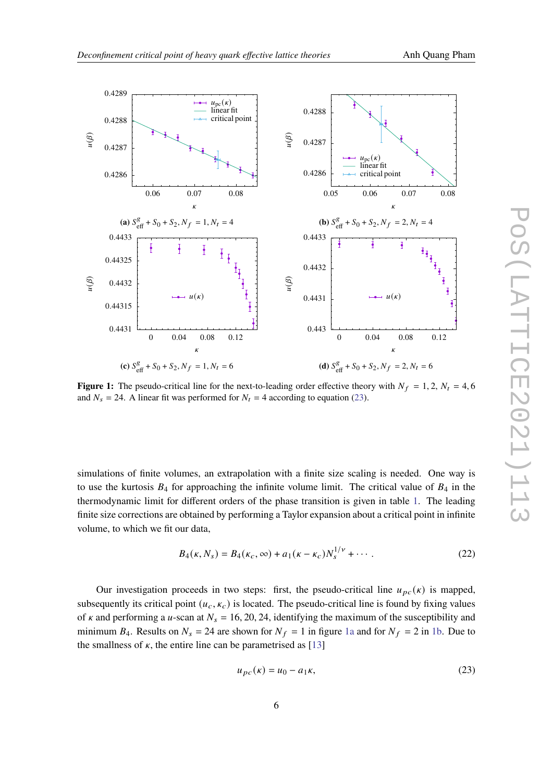

<span id="page-5-1"></span>

**Figure 1:** The pseudo-critical line for the next-to-leading order effective theory with  $N_f = 1, 2, N_t = 4, 6$ and  $N_s = 24$ . A linear fit was performed for  $N_t = 4$  according to equation ([23\)](#page-5-0).

simulations of finite volumes, an extrapolation with a finite size scaling is needed. One way is to use the kurtosis  $B_4$  for approaching the infinite volume limit. The critical value of  $B_4$  in the thermodynamic limit for different orders of the phase transition is given in table [1](#page-4-0). The leading finite size corrections are obtained by performing a Taylor expansion about a critical point in infinite volume, to which we fit our data,

$$
B_4(\kappa, N_s) = B_4(\kappa_c, \infty) + a_1(\kappa - \kappa_c) N_s^{1/\nu} + \cdots
$$
 (22)

Our investigation proceeds in two steps: first, the pseudo-critical line  $u_{pc}(\kappa)$  is mapped, subsequently its critical point  $(u_c, \kappa_c)$  is located. The pseudo-critical line is found by fixing values of  $\kappa$  and performing a u-scan at  $N_s = 16, 20, 24$ , identifying the maximum of the susceptibility and minimum  $B_4$ . Results on  $N_s = 24$  are shown for  $N_f = 1$  in figure [1a](#page-5-1) and for  $N_f = 2$  in [1b.](#page-5-1) Due to the smallness of  $\kappa$ , the entire line can be parametrised as [[13\]](#page-8-7)

<span id="page-5-0"></span>
$$
u_{pc}(\kappa) = u_0 - a_1 \kappa, \tag{23}
$$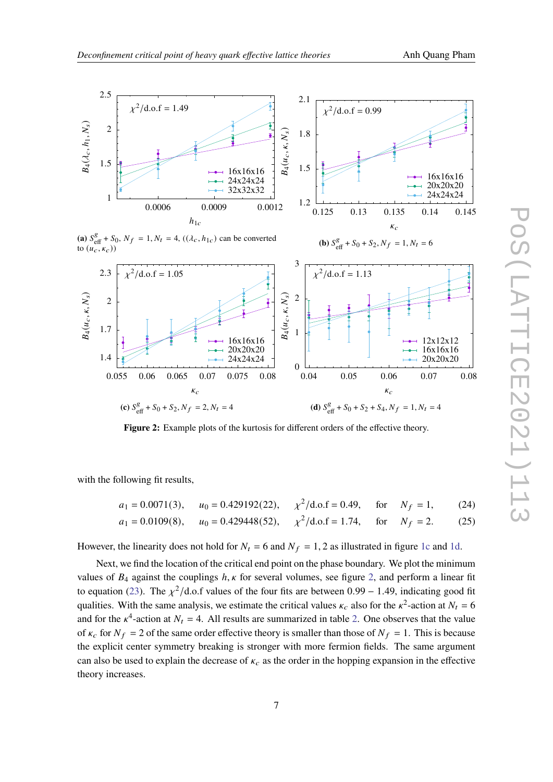**(b)**  $S_{\text{eff}}^g + S_0 + S_2, N_f = 1, N_t = 6$ 

<span id="page-6-0"></span>

### **(a)**  $S_{\text{eff}}^g + S_0$ ,  $N_f = 1$ ,  $N_t = 4$ ,  $((\lambda_c, h_{1c})$  can be converted to  $(u_c, \kappa_c)$



Figure 2: Example plots of the kurtosis for different orders of the effective theory.

with the following fit results,

$$
a_1 = 0.0071(3)
$$
,  $u_0 = 0.429192(22)$ ,  $\chi^2/\text{d.o.f} = 0.49$ , for  $N_f = 1$ , (24)  
\n $a_1 = 0.0109(8)$ ,  $u_0 = 0.429448(52)$ ,  $\chi^2/\text{d.o.f} = 1.74$ , for  $N_f = 2$ . (25)

However, the linearity does not hold for  $N_t = 6$  and  $N_f = 1, 2$  as illustrated in figure [1c](#page-5-1) and [1d](#page-5-1).

Next, we find the location of the critical end point on the phase boundary. We plot the minimum values of  $B_4$  against the couplings  $h, \kappa$  for several volumes, see figure [2](#page-6-0), and perform a linear fit to equation [\(23](#page-5-0)). The  $\chi^2$ /d.o.f values of the four fits are between 0.99 – 1.49, indicating good fit qualities. With the same analysis, we estimate the critical values  $\kappa_c$  also for the  $\kappa^2$ -action at  $N_t = 6$ and for the  $\kappa^4$ -action at  $N_t = 4$ . All results are summarized in table [2.](#page-7-4) One observes that the value of  $\kappa_c$  for  $N_f = 2$  of the same order effective theory is smaller than those of  $N_f = 1$ . This is because the explicit center symmetry breaking is stronger with more fermion fields. The same argument can also be used to explain the decrease of  $\kappa_c$  as the order in the hopping expansion in the effective theory increases.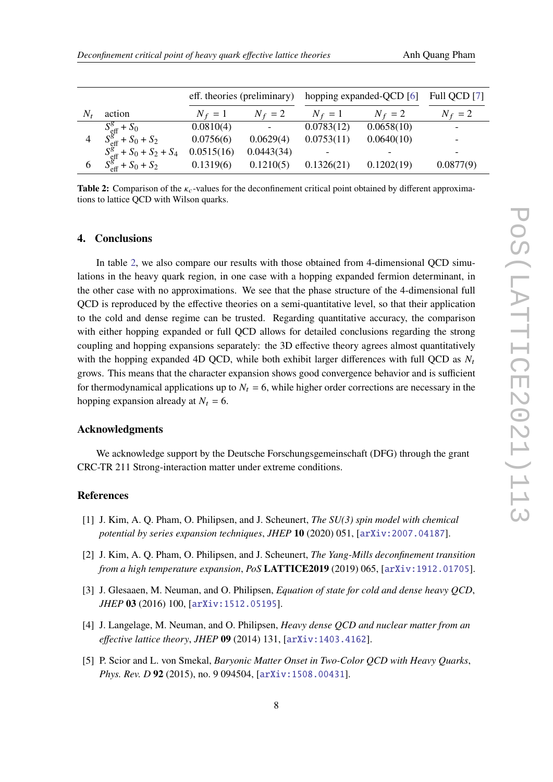<span id="page-7-4"></span>

|                                                                                              |            |                          | eff. theories (preliminary) hopping expanded-QCD [6] |            | Full QCD [7] |
|----------------------------------------------------------------------------------------------|------------|--------------------------|------------------------------------------------------|------------|--------------|
| action                                                                                       | $N_f = 1$  | $N_f = 2$                | $N_f = 1$                                            | $N_f = 2$  | $N_f = 2$    |
| $S_{\text{eff}}^g + S_0$                                                                     | 0.0810(4)  | $\overline{\phantom{a}}$ | 0.0783(12)                                           | 0.0658(10) |              |
| $S_{\text{eff}}^{\text{g}^{*}} + S_0 + S_2$<br>$S_{\text{eff}}^{\text{g}} + S_0 + S_2 + S_4$ | 0.0756(6)  | 0.0629(4)                | 0.0753(11)                                           | 0.0640(10) |              |
|                                                                                              | 0.0515(16) | 0.0443(34)               |                                                      |            |              |
| $S_{\text{eff}}^{g} + S_0 + S_2$                                                             | 0.1319(6)  | 0.1210(5)                | 0.1326(21)                                           | 0.1202(19) | 0.0877(9)    |

**Table 2:** Comparison of the  $\kappa_c$ -values for the deconfinement critical point obtained by different approximations to lattice QCD with Wilson quarks.

#### **4. Conclusions**

In table [2](#page-7-4), we also compare our results with those obtained from 4-dimensional QCD simulations in the heavy quark region, in one case with a hopping expanded fermion determinant, in the other case with no approximations. We see that the phase structure of the 4-dimensional full QCD is reproduced by the effective theories on a semi-quantitative level, so that their application to the cold and dense regime can be trusted. Regarding quantitative accuracy, the comparison with either hopping expanded or full QCD allows for detailed conclusions regarding the strong coupling and hopping expansions separately: the 3D effective theory agrees almost quantitatively with the hopping expanded 4D QCD, while both exhibit larger differences with full QCD as  $N_t$ grows. This means that the character expansion shows good convergence behavior and is sufficient for thermodynamical applications up to  $N_t = 6$ , while higher order corrections are necessary in the hopping expansion already at  $N_t = 6$ .

#### **Acknowledgments**

We acknowledge support by the Deutsche Forschungsgemeinschaft (DFG) through the grant CRC-TR 211 Strong-interaction matter under extreme conditions.

### **References**

- <span id="page-7-0"></span>[1] J. Kim, A. Q. Pham, O. Philipsen, and J. Scheunert, *The SU(3) spin model with chemical potential by series expansion techniques*, *JHEP* **10** (2020) 051, [[arXiv:2007.04187](http://arxiv.org/abs/2007.04187)].
- [2] J. Kim, A. Q. Pham, O. Philipsen, and J. Scheunert, *The Yang-Mills deconfinement transition from a high temperature expansion*, *PoS* **LATTICE2019** (2019) 065, [[arXiv:1912.01705](http://arxiv.org/abs/1912.01705)].
- <span id="page-7-1"></span>[3] J. Glesaaen, M. Neuman, and O. Philipsen, *Equation of state for cold and dense heavy QCD*, *JHEP* **03** (2016) 100, [[arXiv:1512.05195](http://arxiv.org/abs/1512.05195)].
- <span id="page-7-2"></span>[4] J. Langelage, M. Neuman, and O. Philipsen, *Heavy dense QCD and nuclear matter from an effective lattice theory*, *JHEP* **09** (2014) 131, [[arXiv:1403.4162](http://arxiv.org/abs/1403.4162)].
- <span id="page-7-3"></span>[5] P. Scior and L. von Smekal, *Baryonic Matter Onset in Two-Color QCD with Heavy Quarks*, *Phys. Rev. D* **92** (2015), no. 9 094504, [[arXiv:1508.00431](http://arxiv.org/abs/1508.00431)].